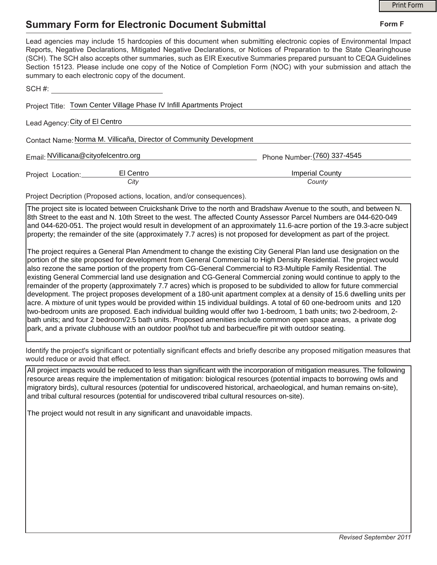## **Summary Form for Electronic Document Submittal**

|                                                                                                                                                                                                                                                                                                                                                                                                                                                                                                                                           | <b>Print Form</b>            |
|-------------------------------------------------------------------------------------------------------------------------------------------------------------------------------------------------------------------------------------------------------------------------------------------------------------------------------------------------------------------------------------------------------------------------------------------------------------------------------------------------------------------------------------------|------------------------------|
| <b>Summary Form for Electronic Document Submittal</b>                                                                                                                                                                                                                                                                                                                                                                                                                                                                                     | Form F                       |
| Lead agencies may include 15 hardcopies of this document when submitting electronic copies of Environmental Impact<br>Reports, Negative Declarations, Mitigated Negative Declarations, or Notices of Preparation to the State Clearinghouse<br>(SCH). The SCH also accepts other summaries, such as EIR Executive Summaries prepared pursuant to CEQA Guidelines<br>Section 15123. Please include one copy of the Notice of Completion Form (NOC) with your submission and attach the<br>summary to each electronic copy of the document. |                              |
| SCH #: <u>____________________________</u>                                                                                                                                                                                                                                                                                                                                                                                                                                                                                                |                              |
| Project Title: Town Center Village Phase IV Infill Apartments Project                                                                                                                                                                                                                                                                                                                                                                                                                                                                     |                              |
| Lead Agency: City of El Centro                                                                                                                                                                                                                                                                                                                                                                                                                                                                                                            |                              |
| Contact Name: Norma M. Villicaña, Director of Community Development                                                                                                                                                                                                                                                                                                                                                                                                                                                                       |                              |
| Email: NVillicana@cityofelcentro.org                                                                                                                                                                                                                                                                                                                                                                                                                                                                                                      | Phone Number: (760) 337-4545 |
| El Centro<br>Project Location:__________                                                                                                                                                                                                                                                                                                                                                                                                                                                                                                  | <b>Imperial County</b>       |
| City                                                                                                                                                                                                                                                                                                                                                                                                                                                                                                                                      | County                       |
| Project Decription (Proposed actions, location, and/or consequences).                                                                                                                                                                                                                                                                                                                                                                                                                                                                     |                              |

The project site is located between Cruickshank Drive to the north and Bradshaw Avenue to the south, and between N. 8th Street to the east and N. 10th Street to the west. The affected County Assessor Parcel Numbers are 044-620-049 and 044-620-051. The project would result in development of an approximately 11.6-acre portion of the 19.3-acre subject property; the remainder of the site (approximately 7.7 acres) is not proposed for development as part of the project.

The project requires a General Plan Amendment to change the existing City General Plan land use designation on the portion of the site proposed for development from General Commercial to High Density Residential. The project would also rezone the same portion of the property from CG-General Commercial to R3-Multiple Family Residential. The existing General Commercial land use designation and CG-General Commercial zoning would continue to apply to the remainder of the property (approximately 7.7 acres) which is proposed to be subdivided to allow for future commercial development. The project proposes development of a 180-unit apartment complex at a density of 15.6 dwelling units per acre. A mixture of unit types would be provided within 15 individual buildings. A total of 60 one-bedroom units and 120 two-bedroom units are proposed. Each individual building would offer two 1-bedroom, 1 bath units; two 2-bedroom, 2 bath units; and four 2 bedroom/2.5 bath units. Proposed amenities include common open space areas, a private dog park, and a private clubhouse with an outdoor pool/hot tub and barbecue/fire pit with outdoor seating.

Identify the project's significant or potentially significant effects and briefly describe any proposed mitigation measures that would reduce or avoid that effect.

All project impacts would be reduced to less than significant with the incorporation of mitigation measures. The following resource areas require the implementation of mitigation: biological resources (potential impacts to borrowing owls and migratory birds), cultural resources (potential for undiscovered historical, archaeological, and human remains on-site), and tribal cultural resources (potential for undiscovered tribal cultural resources on-site).

The project would not result in any significant and unavoidable impacts.